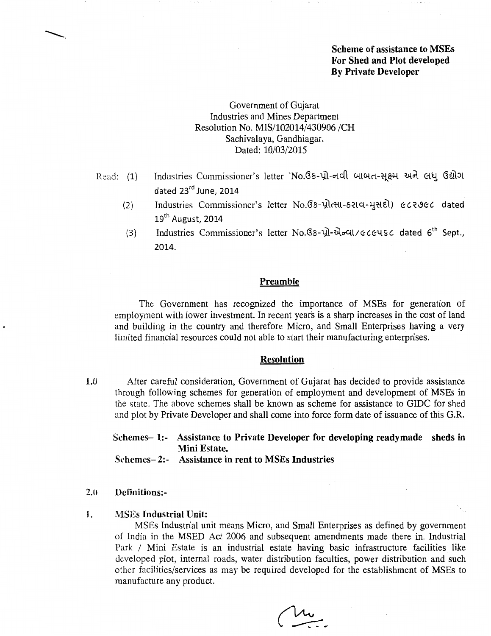# Scheme of assistance to MSEs For Shed and Plot developed By Private Developer

# Government of Gujarat Industries and Mines Department Resolution No. MIS/102014/430906/CH Sachivalaya, Gandhiagar. Dated: 10/03/2015

- Read:  $(1)$ Industries Commissioner's letter `No.Gs-પ્રો-નવી બાબત-સૂક્ષ્મ અને લધુ ઉદ્યોગ dated 23rd June, 2014
	- {2} Industries Commissioner's letter No. G & प्रोत्सा- 6 रा व- भुसही) ∉८२७ c dated  $19<sup>th</sup>$  August, 2014
	- 13) Industries Commissioner's letter No. G5-yl- $\partial \sigma$ dl/eceuse dated 6<sup>th</sup> Sept., 2014.

# Preamble

The Government has recognized the importance of MSEs for generation of employment with lower investment. In recent years is a sharp increases in the cost of land and building in the country and therefore Micro, and Small Enterprises having a very limited financial resources could not able to start their manufacturing enterprises.

## Resolution

1.0 After careful consideration, Government of Gujarat has decided to provide assistance through following schemes for generation of employment and development of MSEs in the state. The above schemes shall be known as scheme for assistance to GIDC for shed and plot by Private Developer and shall come into force form date of issuance of this G.R.

Schemes- 1:- Assistance to Private Developer for developing readymade sheds in Mini Estate.

Schemes- 2:- Assistance in rent to MSEs Industries

## 2.0 Definitions:-

# 1. MSEs Industrial Unit:

MSEs Industrial unit means Micro, and Small Enterprises as defined by government of India in the MSED Act 2006 and subsequent amendments made there in. Industrial Park / Mini Estate is an industrial estate having basic infrastructure facilities like developed plot, internal roads, water distribution faculties, power distribution and such other facilities/services as may be required developed for the establishment of MSEs to manufacture any product.

 $\frac{1}{\sqrt{2}}$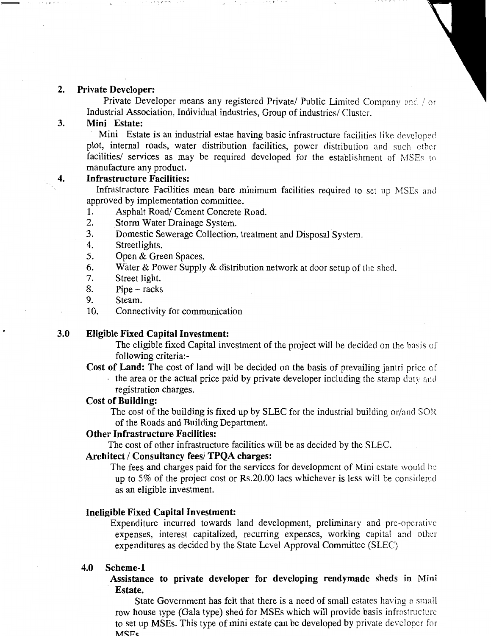## 2. Private Developer:

Private Developer means any registered Private/ Public Limited Company and / or Industrial Association, Individual industries, Group of industries/ Cluster.

# 3. Mini Estate:

Mini Estate is an industrial estae having basic infrastructure facilities like developed plot, internal roads, water distribution facilities, power distribution and such other facilities/ services as may be required developed for the establishment of MSEs to manufacture any product.

# 4. Infrastructure Facilities:

Infrastructure Facilities mean bare minimum facilities required to set up MSEs and approved by implementation committee.

- 1. Asphalt Road/ Cement Concrete Road.
- 2. Storm Water Drainage System.

ville dengi denga

- 3. Domestic Sewerage Collection, treatment and Disposal System.
- 4. Streetlights.
- 5. Open & Green Spaces.
- 6. Water & Power Supply & distribution network at door setup of the shed.<br>7. Street light.
- Street light.
- 8. Pipe- racks
- 9. Steam.
- 10. Connectivity for communication

## 3.0 Eligible Fixed Capital Investment:

The eligible fixed Capital investment of the project will be decided on the basis of following criteria:-

Cost of Land: The cost of land will be decided on the basis of prevailing jantri price of · the area or the actual price paid by private developer including the stamp duty and registration charges.

## Cost of Building:

The cost of the building is fixed up by SLEC for the industrial building or/and SOR of the Roads and Building Department.

# Other Infrastructure Facilities:

The cost of other infrastructure facilities will be as decided by the SLEC.

## Architect / Consultancy fees/ TPQA charges:

The fees and charges paid for the services for development of Mini estate would be up to 5% of the project cost or Rs.20.00 lacs whichever is less will be considered as an eligible investment.

### Ineligible Fixed Capital Investment:

Expenditure incurred towards land development, preliminary and pre-operative expenses, interest capitalized, recurring expenses, working capital and other expenditures as decided by the State Level Approval Committee (SLEC)

### 4.0 Scheme-l

Assistance to private developer for developing readymade sheds in Mini Estate.

State Government has felt that there is a need of small estates having a small row house type (Gala type) shed for MSEs which will provide basis infrastructure to set up MSEs. This type of mini estate can be developed by private developer for MSF<sub>s</sub>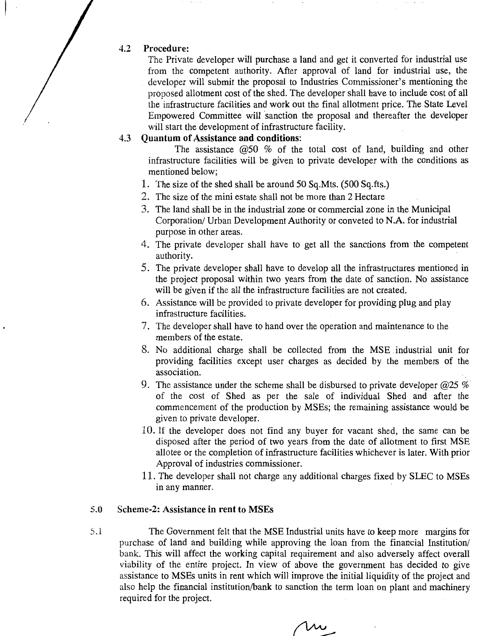#### 4.2 Procedure:

The Private developer will purchase a land and get it converted for industrial use from the competent authority. After approval of land for industrial use, the developer will submit the proposal to Industries Commissioner's mentioning the proposed allotment cost of the shed. The developer shall have to include cost of all the infrastructure facilities and work out the final allotment price. The State Level Empowered Committee will sanction the proposal and thereafter the developer will start the development of infrastructure facility.

#### 4.3 Quantum of Assistance and conditions:

The assistance  $\omega$ 50 % of the total cost of land, building and other infrastructure facilities will be given to private developer with the conditions as mentioned below;

- 1. The size of the shed shall be around 50 Sq.Mts. (500 Sq.fts.)
- 2. The size of the mini estate shall not be more than 2 Hectare
- 3. The land shall be in the industrial zone or commercial zone in the Municipal Corporation/ Urban Development Authority or conveted to N.A. for industrial purpose in other areas.
- 4. The private developer shall have to get all the sanctions from the competent authority.
- 5. The private developer shall have to develop all the infrastructures mentioned in the project proposal within two years from the date of sanction. No assistance will be given if the all the infrastructure facilities are not created.
- 6. Assistance will be provided to private developer for providing plug and play infrastructure facilities.
- 7. The developer shall have to hand over the operation and maintenance to the members of the estate.
- 8. No additional charge shall be collected from the MSE .industrial unit for providing facilities except user charges as decided by the members of the association.
- 9. The assistance under the scheme shall be disbursed to private developer  $@25\%$ of the cost of Shed as per the sale of individual Shed and after the commencement of the production by MSEs; the remaining assistance would be given to private developer.
- 10. If the developer does not find any buyer for vacant shed, the same can be disposed after the period of two years from the date of allotment to first MSE allotee or the completion of infrastructure facilities whichever is later. With prior Approval of industries commissioner.
- 11. The developer shall not charge any additional charges fixed by SLEC to MSEs in any manner.

## 5.0 Scheme-2: Assistance in rent to MSEs

5.1 The Government felt that the MSE Industrial units have to keep more margins for purchase of land and building while approving the loan from the financial Institution/ bank. This will affect the working capital requirement and also adversely affect overall viability of the entire project. In view of above the government has decided to give assistance to MSEs units in rent which will improve the initial liquidity of the project and also help the financial institution/bank to sanction the term loan on plant and machinery required for the project.

Mw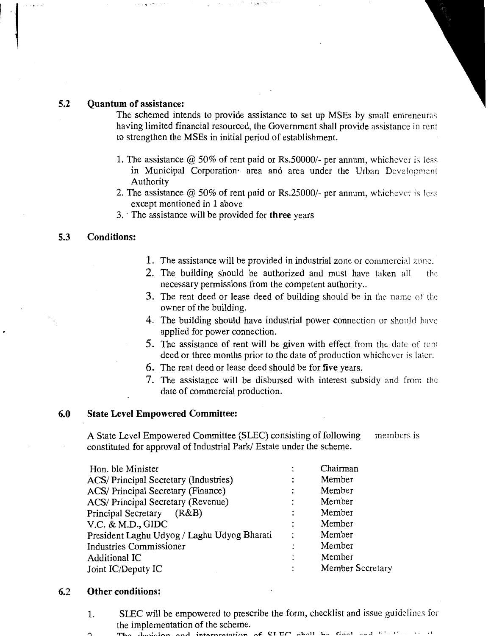## 5.2 Quantum of assistance:

 $\overline{\phantom{a}}$ 

The schemed intends to provide assistance to set up MSEs by small entreneuras having limited financial resourced, the Government shall provide assistance in rent to strengthen the MSEs in initial period of establishment.

- 1. The assistance @ 50% of rent paid or Rs.50000/- per annum, whichever is less in Municipal Corporation· area and area under the Urban Development Authority
- 2. The assistance @ 50% of rent paid or Rs.25000/- per annum, whichever is less except mentioned in 1 above
- 3. The assistance will be provided for three years

# 5.3 Conditions:

- 1. The assistance will be provided in industrial zone or commercial zone.
- 2. The building should be authorized and must have taken all the necessary permissions from the competent authority...
- 3. The rent deed or lease deed of building should be in the name of the owner of the building.
- 4. The building should have industrial power connection or should have applied for power connection.
- 5. The assistance of rent will be given with effect from the date of rent deed or three months prior to the date of production whichever is later.
- 6. The rent deed or lease deed should be for five years.
- 7. The assistance will be disbursed with interest subsidy and from the date of commercial production.

## 6.0 State Level Empowered Committee:

A State Level Empowered Committee (SLEC) consisting of following members is constituted for approval of Industrial Park/ Estate under the scheme.

| Hon. ble Minister                           |                | Chairman                |
|---------------------------------------------|----------------|-------------------------|
| ACS/ Principal Secretary (Industries)       | ٠              | Member                  |
| <b>ACS/</b> Principal Secretary (Finance)   |                | Member                  |
| ACS/ Principal Secretary (Revenue)          |                | Member                  |
| <b>Principal Secretary</b><br>(R&B)         | ٠              | Member                  |
| V.C. & M.D., GIDC                           |                | Member                  |
| President Laghu Udyog / Laghu Udyog Bharati | $\ddot{\cdot}$ | Member                  |
| <b>Industries Commissioner</b>              |                | Member                  |
| <b>Additional IC</b>                        | ٠              | Member                  |
| Joint IC/Deputy IC                          | ٠              | <b>Member Secretary</b> |
|                                             |                |                         |

#### 6.2 Other conditions:

- 1. SLEC will be empowered to prescribe the form, checklist and issue guidelines for the implementation of the scheme.
	- The decision and interpretation of  $CIRC$  shall be final and  $L:=1$ .